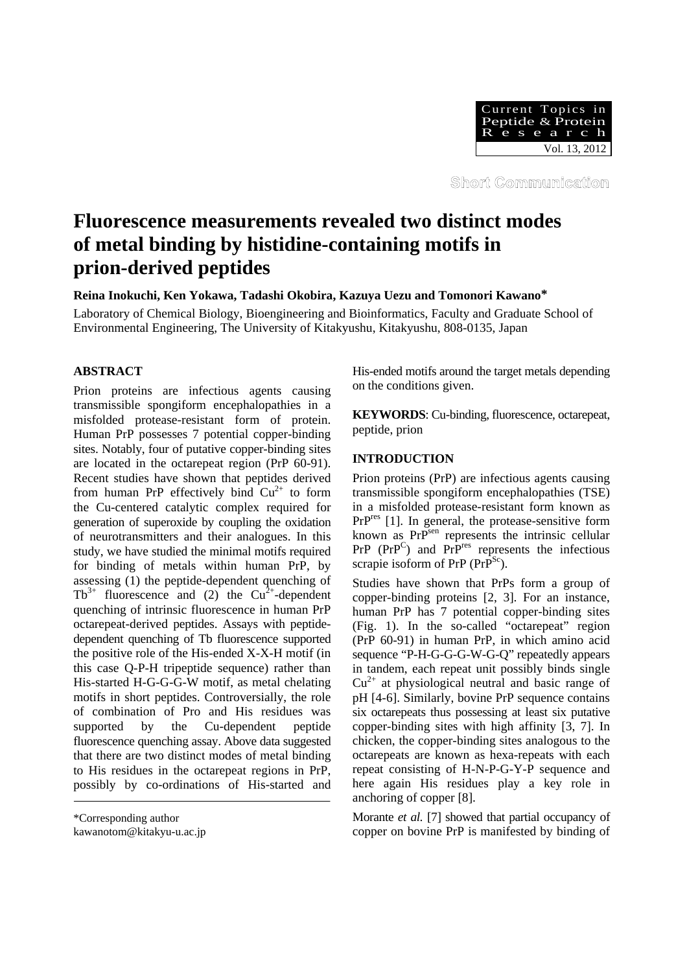

Short Communication

# **Fluorescence measurements revealed two distinct modes of metal binding by histidine-containing motifs in prion-derived peptides**

**Reina Inokuchi, Ken Yokawa, Tadashi Okobira, Kazuya Uezu and Tomonori Kawano\***

Laboratory of Chemical Biology, Bioengineering and Bioinformatics, Faculty and Graduate School of Environmental Engineering, The University of Kitakyushu, Kitakyushu, 808-0135, Japan

# **ABSTRACT**

Prion proteins are infectious agents causing transmissible spongiform encephalopathies in a misfolded protease-resistant form of protein. Human PrP possesses 7 potential copper-binding sites. Notably, four of putative copper-binding sites are located in the octarepeat region (PrP 60-91). Recent studies have shown that peptides derived from human PrP effectively bind  $Cu^{2+}$  to form the Cu-centered catalytic complex required for generation of superoxide by coupling the oxidation of neurotransmitters and their analogues. In this study, we have studied the minimal motifs required for binding of metals within human PrP, by assessing (1) the peptide-dependent quenching of  $Tb^{3+}$  fluorescence and (2) the  $Cu^{2+}$ -dependent quenching of intrinsic fluorescence in human PrP octarepeat-derived peptides. Assays with peptidedependent quenching of Tb fluorescence supported the positive role of the His-ended X-X-H motif (in this case Q-P-H tripeptide sequence) rather than His-started H-G-G-G-W motif, as metal chelating motifs in short peptides. Controversially, the role of combination of Pro and His residues was supported by the Cu-dependent peptide fluorescence quenching assay. Above data suggested that there are two distinct modes of metal binding to His residues in the octarepeat regions in PrP, possibly by co-ordinations of His-started and

kawanotom@kitakyu-u.ac.jp

His-ended motifs around the target metals depending on the conditions given.

**KEYWORDS**: Cu-binding, fluorescence, octarepeat, peptide, prion

## **INTRODUCTION**

Prion proteins (PrP) are infectious agents causing transmissible spongiform encephalopathies (TSE) in a misfolded protease-resistant form known as PrP<sup>res</sup> [1]. In general, the protease-sensitive form known as PrP<sup>sen</sup> represents the intrinsic cellular  $PrP$  ( $PrP^C$ ) and  $PrP^{\text{res}}$  represents the infectious scrapie isoform of PrP  $(PrP^{\text{Sc}})$ .

Studies have shown that PrPs form a group of copper-binding proteins [2, 3]. For an instance, human PrP has 7 potential copper-binding sites (Fig. 1). In the so-called "octarepeat" region (PrP 60-91) in human PrP, in which amino acid sequence "P-H-G-G-G-W-G-Q" repeatedly appears in tandem, each repeat unit possibly binds single  $Cu<sup>2+</sup>$  at physiological neutral and basic range of pH [4-6]. Similarly, bovine PrP sequence contains six octarepeats thus possessing at least six putative copper-binding sites with high affinity [3, 7]. In chicken, the copper-binding sites analogous to the octarepeats are known as hexa-repeats with each repeat consisting of H-N-P-G-Y-P sequence and here again His residues play a key role in anchoring of copper [8].

Morante *et al.* [7] showed that partial occupancy of copper on bovine PrP is manifested by binding of

<sup>\*</sup>Corresponding author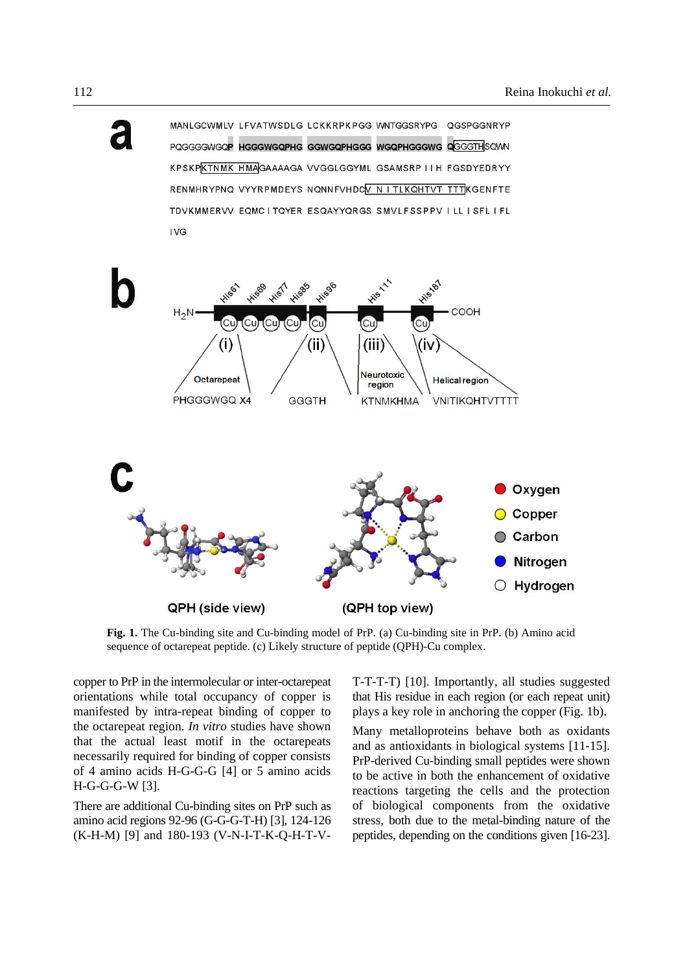

MANLGCWMLV LEVATWSDLG LCKKRPKPGG WNTGGSRYPG OGSPGGNRYP PQGGGGWGQP HGGGWGQPHG GGWGQPHGGG WGQPHGGGWG QGGGTHSQWN KPSKPKTNMK HMAGAAAAGA VVGGLGGYML GSAMSRP IIH FGSDYEDRYY RENMHRYPNQ VYYRPMDEYS NQNNFVHDCV N I TLKQHTVT TTTKGENFTE TDVKMMERVV EQMC ITQYER ESQAYYQRGS SMVLFSSPPV ILL ISFL IFL **IVG** 



**Fig. 1.** The Cu-binding site and Cu-binding model of PrP. (a) Cu-binding site in PrP. (b) Amino acid sequence of octarepeat peptide. (c) Likely structure of peptide (QPH)-Cu complex.

copper to PrP in the intermolecular or inter-octarepeat orientations while total occupancy of copper is manifested by intra-repeat binding of copper to the octarepeat region. *In vitro* studies have shown that the actual least motif in the octarepeats necessarily required for binding of copper consists of 4 amino acids H-G-G-G [4] or 5 amino acids H-G-G-G-W [3].

There are additional Cu-binding sites on PrP such as amino acid regions 92-96 (G-G-G-T-H) [3], 124-126 (K-H-M) [9] and 180-193 (V-N-I-T-K-Q-H-T-V-

T-T-T-T) [10]. Importantly, all studies suggested that His residue in each region (or each repeat unit) plays a key role in anchoring the copper (Fig. 1b).

Many metalloproteins behave both as oxidants and as antioxidants in biological systems [11-15]. PrP-derived Cu-binding small peptides were shown to be active in both the enhancement of oxidative reactions targeting the cells and the protection of biological components from the oxidative stress, both due to the metal-binding nature of the peptides, depending on the conditions given [16-23].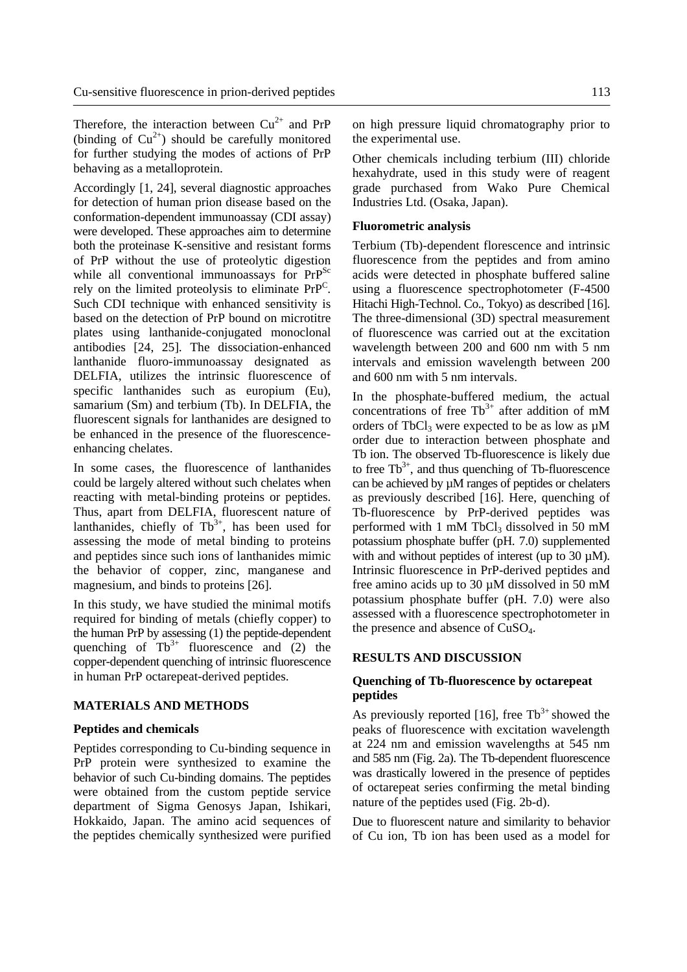Therefore, the interaction between  $Cu^{2+}$  and PrP (binding of  $Cu^{2+}$ ) should be carefully monitored for further studying the modes of actions of PrP behaving as a metalloprotein.

Accordingly [1, 24], several diagnostic approaches for detection of human prion disease based on the conformation-dependent immunoassay (CDI assay) were developed. These approaches aim to determine both the proteinase K-sensitive and resistant forms of PrP without the use of proteolytic digestion while all conventional immunoassays for  $PrP^{Sc}$ rely on the limited proteolysis to eliminate  $PrP^C$ . Such CDI technique with enhanced sensitivity is based on the detection of PrP bound on microtitre plates using lanthanide-conjugated monoclonal antibodies [24, 25]. The dissociation-enhanced lanthanide fluoro-immunoassay designated as DELFIA, utilizes the intrinsic fluorescence of specific lanthanides such as europium (Eu), samarium (Sm) and terbium (Tb). In DELFIA, the fluorescent signals for lanthanides are designed to be enhanced in the presence of the fluorescenceenhancing chelates.

In some cases, the fluorescence of lanthanides could be largely altered without such chelates when reacting with metal-binding proteins or peptides. Thus, apart from DELFIA, fluorescent nature of lanthanides, chiefly of  $Tb^{3+}$ , has been used for assessing the mode of metal binding to proteins and peptides since such ions of lanthanides mimic the behavior of copper, zinc, manganese and magnesium, and binds to proteins [26].

In this study, we have studied the minimal motifs required for binding of metals (chiefly copper) to the human PrP by assessing (1) the peptide-dependent quenching of  $Tb^{3+}$  fluorescence and (2) the copper-dependent quenching of intrinsic fluorescence in human PrP octarepeat-derived peptides.

## **MATERIALS AND METHODS**

### **Peptides and chemicals**

Peptides corresponding to Cu-binding sequence in PrP protein were synthesized to examine the behavior of such Cu-binding domains. The peptides were obtained from the custom peptide service department of Sigma Genosys Japan, Ishikari, Hokkaido, Japan. The amino acid sequences of the peptides chemically synthesized were purified

on high pressure liquid chromatography prior to the experimental use.

Other chemicals including terbium (III) chloride hexahydrate, used in this study were of reagent grade purchased from Wako Pure Chemical Industries Ltd. (Osaka, Japan).

## **Fluorometric analysis**

Terbium (Tb)-dependent florescence and intrinsic fluorescence from the peptides and from amino acids were detected in phosphate buffered saline using a fluorescence spectrophotometer (F-4500 Hitachi High-Technol. Co., Tokyo) as described [16]. The three-dimensional (3D) spectral measurement of fluorescence was carried out at the excitation wavelength between 200 and 600 nm with 5 nm intervals and emission wavelength between 200 and 600 nm with 5 nm intervals.

In the phosphate-buffered medium, the actual concentrations of free  $Tb^{3+}$  after addition of mM orders of  $TbCl<sub>3</sub>$  were expected to be as low as  $\mu$ M order due to interaction between phosphate and Tb ion. The observed Tb-fluorescence is likely due to free  $Tb^{3+}$ , and thus quenching of Tb-fluorescence can be achieved by µM ranges of peptides or chelaters as previously described [16]. Here, quenching of Tb-fluorescence by PrP-derived peptides was performed with  $1 \text{ mM}$  TbCl<sub>3</sub> dissolved in 50 mM potassium phosphate buffer (pH. 7.0) supplemented with and without peptides of interest (up to 30  $\mu$ M). Intrinsic fluorescence in PrP-derived peptides and free amino acids up to  $30 \mu$ M dissolved in  $50 \mu$ M potassium phosphate buffer (pH. 7.0) were also assessed with a fluorescence spectrophotometer in the presence and absence of  $CuSO<sub>4</sub>$ .

## **RESULTS AND DISCUSSION**

## **Quenching of Tb-fluorescence by octarepeat peptides**

As previously reported [16], free  $\text{Th}^{3+}$  showed the peaks of fluorescence with excitation wavelength at 224 nm and emission wavelengths at 545 nm and 585 nm (Fig. 2a). The Tb-dependent fluorescence was drastically lowered in the presence of peptides of octarepeat series confirming the metal binding nature of the peptides used (Fig. 2b-d).

Due to fluorescent nature and similarity to behavior of Cu ion, Tb ion has been used as a model for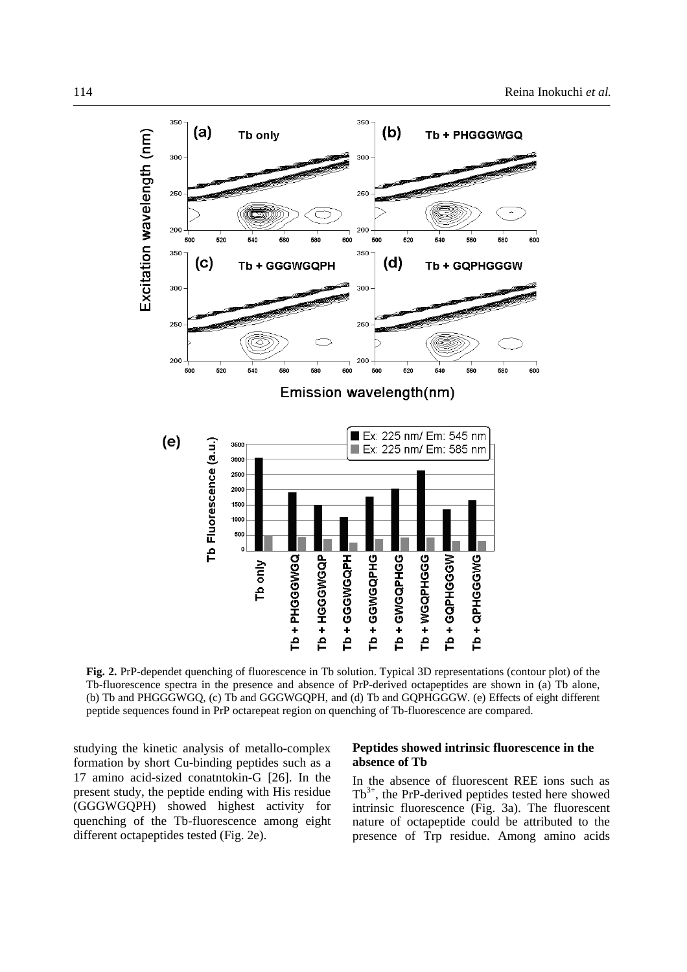

**Fig. 2.** PrP-dependet quenching of fluorescence in Tb solution. Typical 3D representations (contour plot) of the Tb-fluorescence spectra in the presence and absence of PrP-derived octapeptides are shown in (a) Tb alone, (b) Tb and PHGGGWGQ, (c) Tb and GGGWGQPH, and (d) Tb and GQPHGGGW. (e) Effects of eight different peptide sequences found in PrP octarepeat region on quenching of Tb-fluorescence are compared.

studying the kinetic analysis of metallo-complex formation by short Cu-binding peptides such as a 17 amino acid-sized conatntokin-G [26]. In the present study, the peptide ending with His residue (GGGWGQPH) showed highest activity for quenching of the Tb-fluorescence among eight different octapeptides tested (Fig. 2e).

## **Peptides showed intrinsic fluorescence in the absence of Tb**

In the absence of fluorescent REE ions such as  $Tb^{3+}$ , the PrP-derived peptides tested here showed intrinsic fluorescence (Fig. 3a). The fluorescent nature of octapeptide could be attributed to the presence of Trp residue. Among amino acids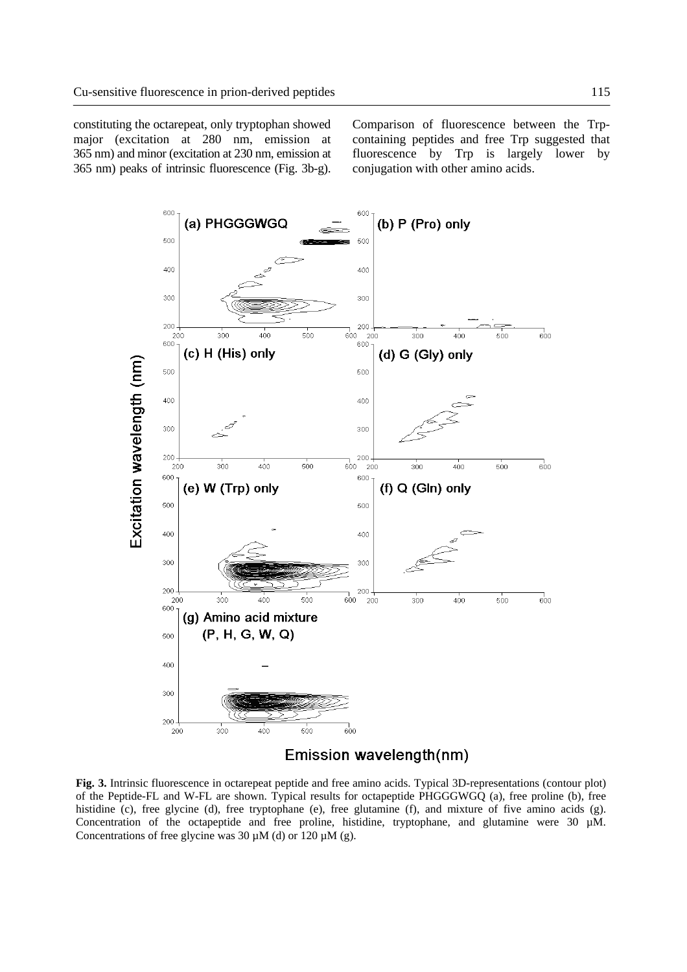constituting the octarepeat, only tryptophan showed major (excitation at 280 nm, emission at 365 nm) and minor (excitation at 230 nm, emission at 365 nm) peaks of intrinsic fluorescence (Fig. 3b-g).

Comparison of fluorescence between the Trpcontaining peptides and free Trp suggested that fluorescence by Trp is largely lower by conjugation with other amino acids.



**Fig. 3.** Intrinsic fluorescence in octarepeat peptide and free amino acids. Typical 3D-representations (contour plot) of the Peptide-FL and W-FL are shown. Typical results for octapeptide PHGGGWGQ (a), free proline (b), free histidine (c), free glycine (d), free tryptophane (e), free glutamine (f), and mixture of five amino acids (g). Concentration of the octapeptide and free proline, histidine, tryptophane, and glutamine were 30  $\mu$ M. Concentrations of free glycine was 30  $\mu$ M (d) or 120  $\mu$ M (g).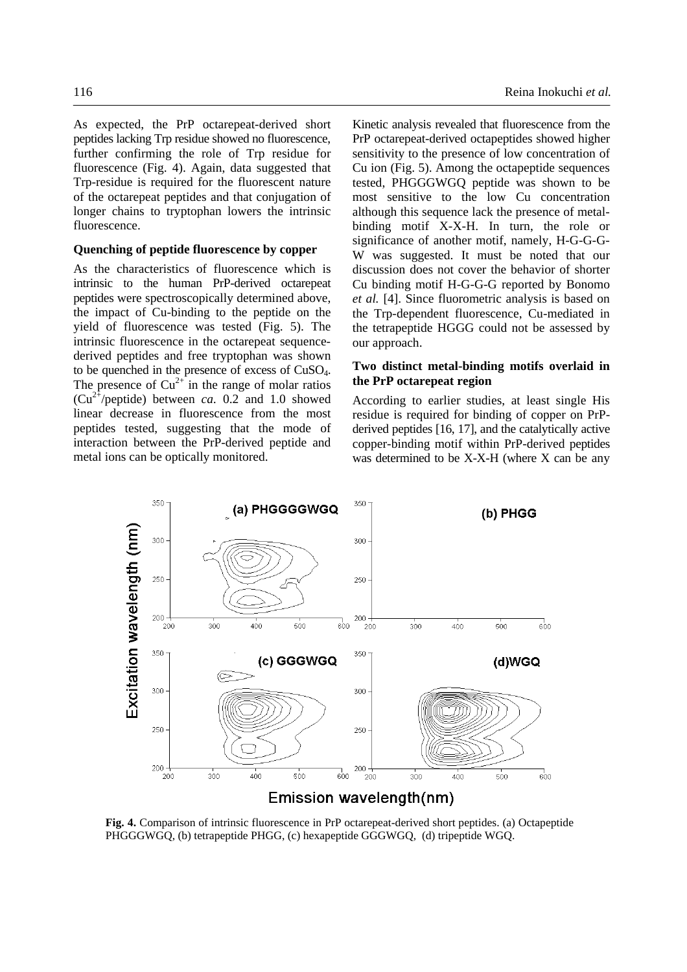As expected, the PrP octarepeat-derived short peptides lacking Trp residue showed no fluorescence, further confirming the role of Trp residue for fluorescence (Fig. 4). Again, data suggested that Trp-residue is required for the fluorescent nature of the octarepeat peptides and that conjugation of longer chains to tryptophan lowers the intrinsic fluorescence.

## **Quenching of peptide fluorescence by copper**

As the characteristics of fluorescence which is intrinsic to the human PrP-derived octarepeat peptides were spectroscopically determined above, the impact of Cu-binding to the peptide on the yield of fluorescence was tested (Fig. 5). The intrinsic fluorescence in the octarepeat sequencederived peptides and free tryptophan was shown to be quenched in the presence of excess of CuSO4. The presence of  $Cu^{2+}$  in the range of molar ratios  $(Cu^{2+}/\text{peptide})$  between *ca.* 0.2 and 1.0 showed linear decrease in fluorescence from the most peptides tested, suggesting that the mode of interaction between the PrP-derived peptide and metal ions can be optically monitored.

Kinetic analysis revealed that fluorescence from the PrP octarepeat-derived octapeptides showed higher sensitivity to the presence of low concentration of Cu ion (Fig. 5). Among the octapeptide sequences tested, PHGGGWGQ peptide was shown to be most sensitive to the low Cu concentration although this sequence lack the presence of metalbinding motif X-X-H. In turn, the role or significance of another motif, namely, H-G-G-G-W was suggested. It must be noted that our discussion does not cover the behavior of shorter Cu binding motif H-G-G-G reported by Bonomo *et al.* [4]. Since fluorometric analysis is based on the Trp-dependent fluorescence, Cu-mediated in the tetrapeptide HGGG could not be assessed by our approach.

## **Two distinct metal-binding motifs overlaid in the PrP octarepeat region**

According to earlier studies, at least single His residue is required for binding of copper on PrPderived peptides [16, 17], and the catalytically active copper-binding motif within PrP-derived peptides was determined to be X-X-H (where X can be any



**Fig. 4.** Comparison of intrinsic fluorescence in PrP octarepeat-derived short peptides. (a) Octapeptide PHGGGWGQ, (b) tetrapeptide PHGG, (c) hexapeptide GGGWGQ, (d) tripeptide WGQ.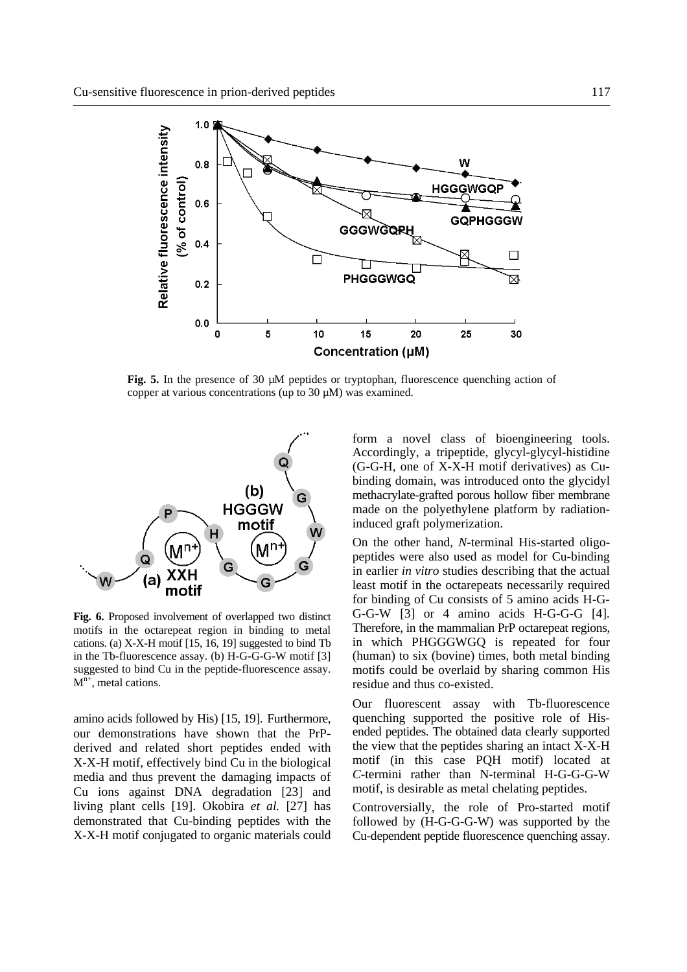

**Fig. 5.** In the presence of 30 µM peptides or tryptophan, fluorescence quenching action of copper at various concentrations (up to 30 µM) was examined.



**Fig. 6.** Proposed involvement of overlapped two distinct motifs in the octarepeat region in binding to metal cations. (a) X-X-H motif [15, 16, 19] suggested to bind Tb in the Tb-fluorescence assay. (b) H-G-G-G-W motif [3] suggested to bind Cu in the peptide-fluorescence assay.  $M<sup>n+</sup>$ , metal cations.

amino acids followed by His) [15, 19]. Furthermore, our demonstrations have shown that the PrPderived and related short peptides ended with X-X-H motif, effectively bind Cu in the biological media and thus prevent the damaging impacts of Cu ions against DNA degradation [23] and living plant cells [19]. Okobira *et al.* [27] has demonstrated that Cu-binding peptides with the X-X-H motif conjugated to organic materials could form a novel class of bioengineering tools. Accordingly, a tripeptide, glycyl-glycyl-histidine (G-G-H, one of X-X-H motif derivatives) as Cubinding domain, was introduced onto the glycidyl methacrylate-grafted porous hollow fiber membrane made on the polyethylene platform by radiationinduced graft polymerization.

On the other hand, *N*-terminal His-started oligopeptides were also used as model for Cu-binding in earlier *in vitro* studies describing that the actual least motif in the octarepeats necessarily required for binding of Cu consists of 5 amino acids H-G-G-G-W [3] or 4 amino acids H-G-G-G [4]. Therefore, in the mammalian PrP octarepeat regions, in which PHGGGWGQ is repeated for four (human) to six (bovine) times, both metal binding motifs could be overlaid by sharing common His residue and thus co-existed.

Our fluorescent assay with Tb-fluorescence quenching supported the positive role of Hisended peptides. The obtained data clearly supported the view that the peptides sharing an intact X-X-H motif (in this case PQH motif) located at *C*-termini rather than N-terminal H-G-G-G-W motif, is desirable as metal chelating peptides.

Controversially, the role of Pro-started motif followed by (H-G-G-G-W) was supported by the Cu-dependent peptide fluorescence quenching assay.